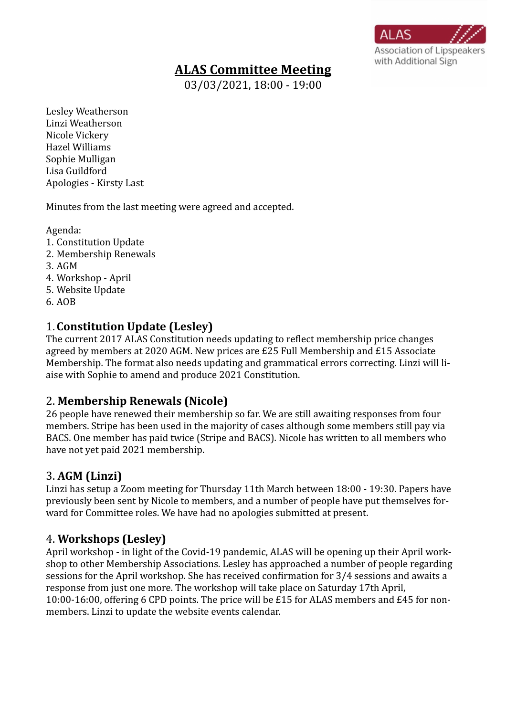# **ALAS Committee Meeting**

**Association of Lipspeakers** with Additional Sign

 $\overline{03/03/20}$ 21, 18:00 - 19:00

Lesley Weatherson Linzi Weatherson Nicole Vickery Hazel Williams Sophie Mulligan Lisa Guildford Apologies - Kirsty Last

Minutes from the last meeting were agreed and accepted.

Agenda:

- 1. Constitution Update
- 2. Membership Renewals
- 3. AGM
- 4. Workshop April
- 5. Website Update
- 6. AOB

# 1. **Constitution Update (Lesley)**

The current 2017 ALAS Constitution needs updating to reflect membership price changes agreed by members at 2020 AGM. New prices are £25 Full Membership and £15 Associate Membership. The format also needs updating and grammatical errors correcting. Linzi will liaise with Sophie to amend and produce 2021 Constitution.

#### 2. **Membership Renewals (Nicole)**

26 people have renewed their membership so far. We are still awaiting responses from four members. Stripe has been used in the majority of cases although some members still pay via BACS. One member has paid twice (Stripe and BACS). Nicole has written to all members who have not yet paid 2021 membership.

## 3. **AGM (Linzi)**

Linzi has setup a Zoom meeting for Thursday 11th March between 18:00 - 19:30. Papers have previously been sent by Nicole to members, and a number of people have put themselves forward for Committee roles. We have had no apologies submitted at present.

## 4. **Workshops (Lesley)**

April workshop - in light of the Covid-19 pandemic, ALAS will be opening up their April workshop to other Membership Associations. Lesley has approached a number of people regarding sessions for the April workshop. She has received confirmation for 3/4 sessions and awaits a response from just one more. The workshop will take place on Saturday 17th April, 10:00-16:00, offering 6 CPD points. The price will be £15 for ALAS members and £45 for nonmembers. Linzi to update the website events calendar.